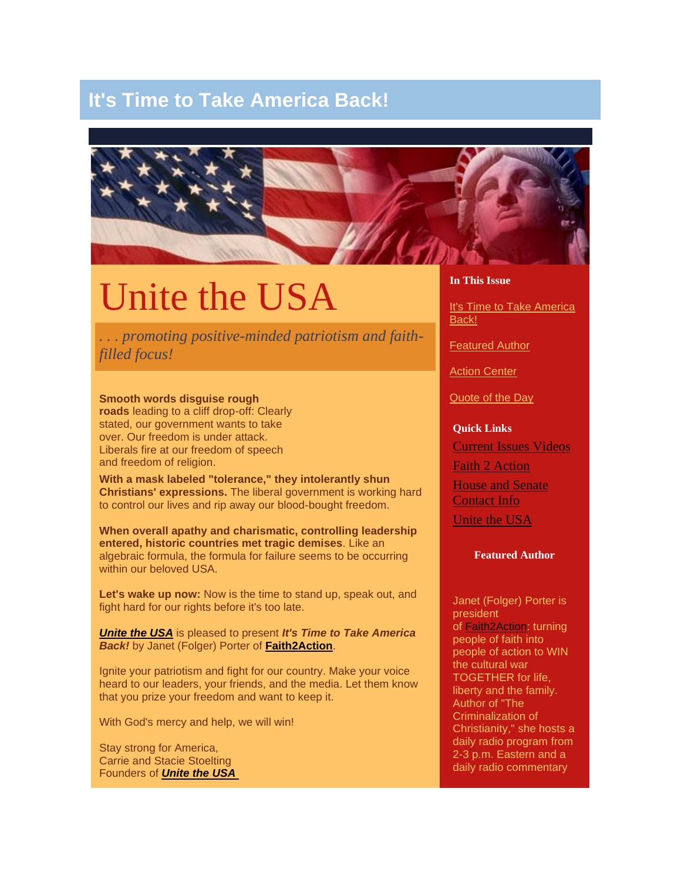# **It's Time to Take America Back!**



# Unite the USA

*. . . promoting positive-minded patriotism and faithfilled focus!*

**Smooth words disguise rough roads** leading to a cliff drop-off: Clearly stated, our government wants to take over. Our freedom is under attack. Liberals fire at our freedom of speech and freedom of religion.

**With a mask labeled "tolerance," they intolerantly shun Christians' expressions.** The liberal government is working hard to control our lives and rip away our blood-bought freedom.

**When overall apathy and charismatic, controlling leadership entered, historic countries met tragic demises**. Like an algebraic formula, the formula for failure seems to be occurring within our beloved USA.

**Let's wake up now:** Now is the time to stand up, speak out, and fight hard for our rights before it's too late.

*[Unite the USA](http://www.unitetheusa.org/)* is pleased to present *It's Time to Take America Back!* by Janet (Folger) Porter of **[Faith2Action](http://www.f2a.org/)**.

Ignite your patriotism and fight for our country. Make your voice heard to our leaders, your friends, and the media. Let them know that you prize your freedom and want to keep it.

With God's mercy and help, we will win!

Stay strong for America, Carrie and Stacie Stoelting Founders of *[Unite the USA](http://www.unitetheusa.org/)* **In This Issue**

[It's Time to Take America](http://campaign.constantcontact.com/render?v=001aqj1QInodGR3z4awnd7OhSkaH3isUe8c6OFMZ3dmNMeQ3d7IJfM0foc_LRymEtPIpfCix9BnMol7i1lzKllhwg-ayBCkJ5E30SLqqn3PzMj_rLa-KiaqeqNCvK1P_fm_KgcmF9GG2ynW_jLVHrnJk7YOxgulGdcPrODKLbEprmLIA_cRy2BwlcRjjHN74u2ylPN7Z#LETTER.BLOCK9)  [Back!](http://campaign.constantcontact.com/render?v=001aqj1QInodGR3z4awnd7OhSkaH3isUe8c6OFMZ3dmNMeQ3d7IJfM0foc_LRymEtPIpfCix9BnMol7i1lzKllhwg-ayBCkJ5E30SLqqn3PzMj_rLa-KiaqeqNCvK1P_fm_KgcmF9GG2ynW_jLVHrnJk7YOxgulGdcPrODKLbEprmLIA_cRy2BwlcRjjHN74u2ylPN7Z#LETTER.BLOCK9)

[Featured Author](http://campaign.constantcontact.com/render?v=001aqj1QInodGR3z4awnd7OhSkaH3isUe8c6OFMZ3dmNMeQ3d7IJfM0foc_LRymEtPIpfCix9BnMol7i1lzKllhwg-ayBCkJ5E30SLqqn3PzMj_rLa-KiaqeqNCvK1P_fm_KgcmF9GG2ynW_jLVHrnJk7YOxgulGdcPrODKLbEprmLIA_cRy2BwlcRjjHN74u2ylPN7Z#LETTER.BLOCK8)

[Action Center](http://campaign.constantcontact.com/render?v=001aqj1QInodGR3z4awnd7OhSkaH3isUe8c6OFMZ3dmNMeQ3d7IJfM0foc_LRymEtPIpfCix9BnMol7i1lzKllhwg-ayBCkJ5E30SLqqn3PzMj_rLa-KiaqeqNCvK1P_fm_KgcmF9GG2ynW_jLVHrnJk7YOxgulGdcPrODKLbEprmLIA_cRy2BwlcRjjHN74u2ylPN7Z#LETTER.BLOCK11)

[Quote of the Day](http://campaign.constantcontact.com/render?v=001aqj1QInodGR3z4awnd7OhSkaH3isUe8c6OFMZ3dmNMeQ3d7IJfM0foc_LRymEtPIpfCix9BnMol7i1lzKllhwg-ayBCkJ5E30SLqqn3PzMj_rLa-KiaqeqNCvK1P_fm_KgcmF9GG2ynW_jLVHrnJk7YOxgulGdcPrODKLbEprmLIA_cRy2BwlcRjjHN74u2ylPN7Z#LETTER.BLOCK12)

#### **Quick Links**

[Current Issues Videos](http://www.f2a.org/index.php?option=com_content&view=article&id=166&Itemid=226) Faith [2 Action](http://www.f2a.org/) [House and Senate](http://www.f2a.org/index.php?option=com_content&view=article&id=295&Itemid=195)  [Contact Info](http://www.f2a.org/index.php?option=com_content&view=article&id=295&Itemid=195) [Unite the USA](http://www.unitetheusa.org/)

#### **Featured Author**

Janet (Folger) Porter is president of [Faith2Action:](http://www.f2a.org/) turning people of faith into people of action to WIN the cultural war TOGETHER for life, liberty and the family. Author of "The Criminalization of Christianity," she hosts a daily radio program from 2-3 p.m. Eastern and a daily radio commentary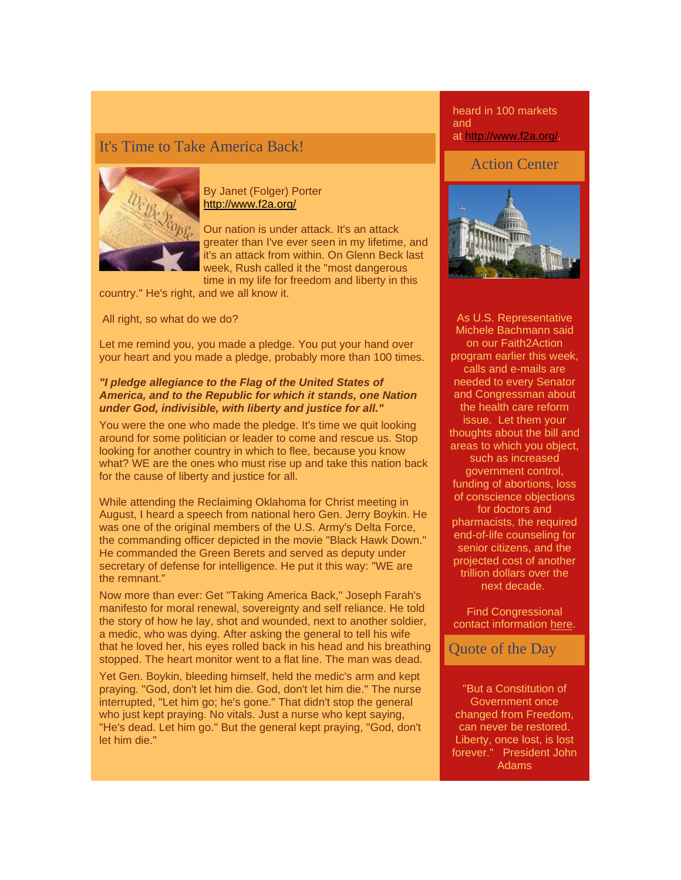# It's Time to Take America Back!



By Janet (Folger) Porter <http://www.f2a.org/>

Our nation is under attack. It's an attack greater than I've ever seen in my lifetime, and it's an attack from within. On Glenn Beck last week, Rush called it the "most dangerous time in my life for freedom and liberty in this

country." He's right, and we all know it.

All right, so what do we do?

Let me remind you, you made a pledge. You put your hand over your heart and you made a pledge, probably more than 100 times.

## *"I pledge allegiance to the Flag of the United States of America, and to the Republic for which it stands, one Nation under God, indivisible, with liberty and justice for all."*

You were the one who made the pledge. It's time we quit looking around for some politician or leader to come and rescue us. Stop looking for another country in which to flee, because you know what? WE are the ones who must rise up and take this nation back for the cause of liberty and justice for all.

While attending the Reclaiming Oklahoma for Christ meeting in August, I heard a speech from national hero Gen. Jerry Boykin. He was one of the original members of the U.S. Army's Delta Force, the commanding officer depicted in the movie "Black Hawk Down." He commanded the Green Berets and served as deputy under secretary of defense for intelligence. He put it this way: "WE are the remnant."

Now more than ever: Get "Taking America Back," Joseph Farah's manifesto for moral renewal, sovereignty and self reliance. He told the story of how he lay, shot and wounded, next to another soldier, a medic, who was dying. After asking the general to tell his wife that he loved her, his eyes rolled back in his head and his breathing stopped. The heart monitor went to a flat line. The man was dead.

Yet Gen. Boykin, bleeding himself, held the medic's arm and kept praying. "God, don't let him die. God, don't let him die." The nurse interrupted, "Let him go; he's gone." That didn't stop the general who just kept praying. No vitals. Just a nurse who kept saying, "He's dead. Let him go." But the general kept praying, "God, don't let him die."

heard in 100 markets and at [http://www.f2a.org/.](http://www.f2a.org/)

# Action Center



As U.S. Representative Michele Bachmann said on our Faith2Action program earlier this week, calls and e-mails are needed to every Senator and Congressman about the health care reform issue. Let them your thoughts about the bill and areas to which you object, such as increased government control, funding of abortions, loss of conscience objections for doctors and pharmacists, the required end-of-life counseling for senior citizens, and the projected cost of another trillion dollars over the next decade.

Find Congressional contact information [here.](http://www.f2a.org/index.php?option=com_content&view=article&id=295&Itemid=195)

Quote of the Day

"But a Constitution of Government once changed from Freedom, can never be restored. Liberty, once lost, is lost forever." President John Adams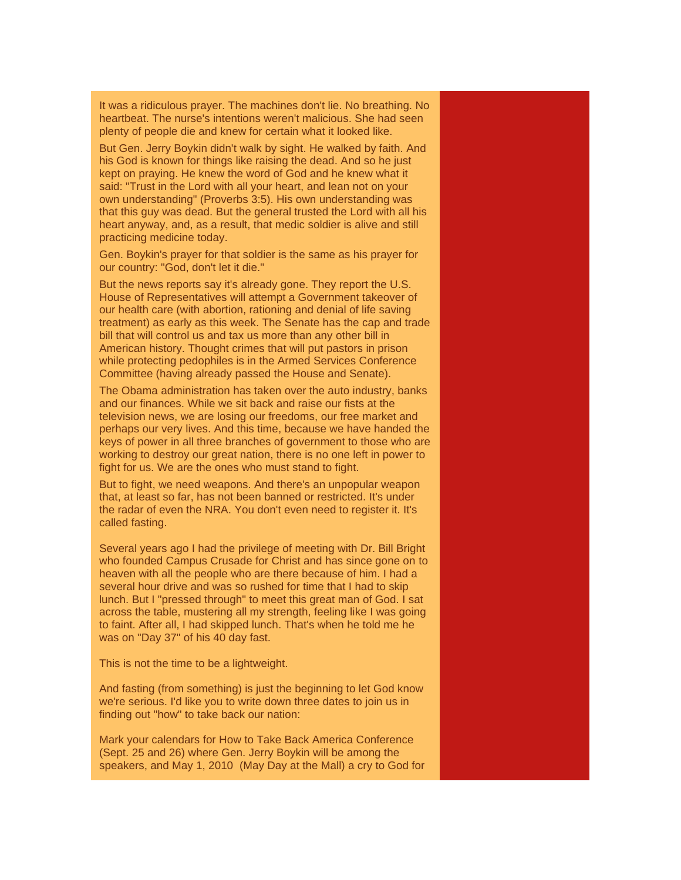It was a ridiculous prayer. The machines don't lie. No breathing. No heartbeat. The nurse's intentions weren't malicious. She had seen plenty of people die and knew for certain what it looked like.

But Gen. Jerry Boykin didn't walk by sight. He walked by faith. And his God is known for things like raising the dead. And so he just kept on praying. He knew the word of God and he knew what it said: "Trust in the Lord with all your heart, and lean not on your own understanding" (Proverbs 3:5). His own understanding was that this guy was dead. But the general trusted the Lord with all his heart anyway, and, as a result, that medic soldier is alive and still practicing medicine today.

Gen. Boykin's prayer for that soldier is the same as his prayer for our country: "God, don't let it die."

But the news reports say it's already gone. They report the U.S. House of Representatives will attempt a Government takeover of our health care (with abortion, rationing and denial of life saving treatment) as early as this week. The Senate has the cap and trade bill that will control us and tax us more than any other bill in American history. Thought crimes that will put pastors in prison while protecting pedophiles is in the Armed Services Conference Committee (having already passed the House and Senate).

The Obama administration has taken over the auto industry, banks and our finances. While we sit back and raise our fists at the television news, we are losing our freedoms, our free market and perhaps our very lives. And this time, because we have handed the keys of power in all three branches of government to those who are working to destroy our great nation, there is no one left in power to fight for us. We are the ones who must stand to fight.

But to fight, we need weapons. And there's an unpopular weapon that, at least so far, has not been banned or restricted. It's under the radar of even the NRA. You don't even need to register it. It's called fasting.

Several years ago I had the privilege of meeting with Dr. Bill Bright who founded Campus Crusade for Christ and has since gone on to heaven with all the people who are there because of him. I had a several hour drive and was so rushed for time that I had to skip lunch. But I "pressed through" to meet this great man of God. I sat across the table, mustering all my strength, feeling like I was going to faint. After all, I had skipped lunch. That's when he told me he was on "Day 37" of his 40 day fast.

This is not the time to be a lightweight.

And fasting (from something) is just the beginning to let God know we're serious. I'd like you to write down three dates to join us in finding out "how" to take back our nation:

Mark your calendars for How to Take Back America Conference (Sept. 25 and 26) where Gen. Jerry Boykin will be among the speakers, and May 1, 2010 (May Day at the Mall) a cry to God for